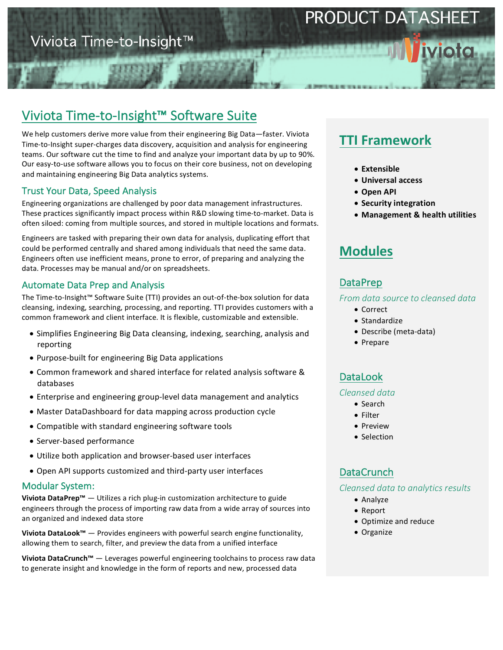# Viviota Time-to-Insight™

## Viviota Time-to-Insight™ Software Suite

We help customers derive more value from their engineering Big Data—faster. Viviota Time-to-Insight super-charges data discovery, acquisition and analysis for engineering teams. Our software cut the time to find and analyze your important data by up to 90%. Our easy-to-use software allows you to focus on their core business, not on developing and maintaining engineering Big Data analytics systems.

#### **Trust Your Data, Speed Analysis**

Engineering organizations are challenged by poor data management infrastructures. These practices significantly impact process within R&D slowing time-to-market. Data is often siloed: coming from multiple sources, and stored in multiple locations and formats.

Engineers are tasked with preparing their own data for analysis, duplicating effort that could be performed centrally and shared among individuals that need the same data. Engineers often use inefficient means, prone to error, of preparing and analyzing the data. Processes may be manual and/or on spreadsheets.

#### **Automate Data Prep and Analysis**

The Time-to-Insight™ Software Suite (TTI) provides an out-of-the-box solution for data cleansing, indexing, searching, processing, and reporting. TTI provides customers with a common framework and client interface. It is flexible, customizable and extensible.

- Simplifies Engineering Big Data cleansing, indexing, searching, analysis and reporting
- Purpose-built for engineering Big Data applications
- Common framework and shared interface for related analysis software & databases
- Enterprise and engineering group-level data management and analytics
- Master DataDashboard for data mapping across production cycle
- Compatible with standard engineering software tools
- Server-based performance
- Utilize both application and browser-based user interfaces
- Open API supports customized and third-party user interfaces

#### Modular System:

**Viviota DataPrep™** — Utilizes a rich plug-in customization architecture to guide engineers through the process of importing raw data from a wide array of sources into an organized and indexed data store

**Viviota DataLook™** — Provides engineers with powerful search engine functionality, allowing them to search, filter, and preview the data from a unified interface

**Viviota DataCrunch™** — Leverages powerful engineering toolchains to process raw data to generate insight and knowledge in the form of reports and new, processed data

## **TTI Framework**

PRODUCT DATASHEET

- **Extensible**
- **Universal access**
- **Open API**
- **Security integration**
- **Management & health utilities**

## **Modules**

### DataPrep

#### *From data source to cleansed data*

- Correct
- Standardize
- Describe (meta-data)
- Prepare

## DataLook

#### *Cleansed data*

- Search
- Filter
- Preview
- Selection

## **DataCrunch**

#### *Cleansed data to analytics results*

- Analyze
- Report
- Optimize and reduce
- Organize